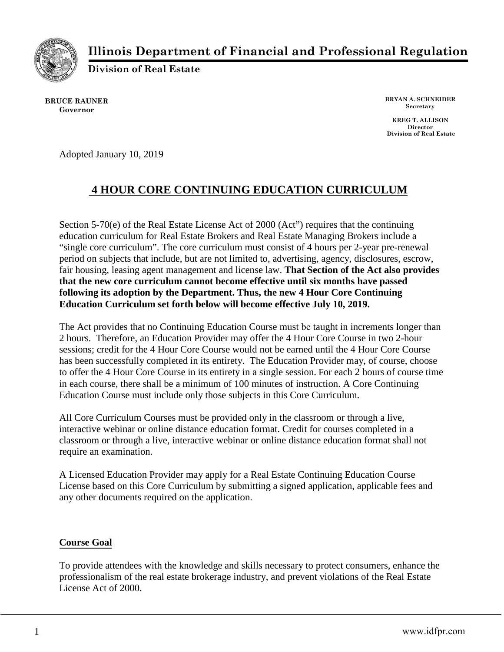

**Illinois Department of Financial and Professional Regulation**

**Division of Real Estate**

**BRUCE RAUNER Governor**

**BRYAN A. SCHNEIDER Secretary**

**KREG T. ALLISON Director Division of Real Estate**

Adopted January 10, 2019

# **4 HOUR CORE CONTINUING EDUCATION CURRICULUM**

Section 5-70(e) of the Real Estate License Act of 2000 (Act") requires that the continuing education curriculum for Real Estate Brokers and Real Estate Managing Brokers include a "single core curriculum". The core curriculum must consist of 4 hours per 2-year pre-renewal period on subjects that include, but are not limited to, advertising, agency, disclosures, escrow, fair housing, leasing agent management and license law. **That Section of the Act also provides that the new core curriculum cannot become effective until six months have passed following its adoption by the Department. Thus, the new 4 Hour Core Continuing Education Curriculum set forth below will become effective July 10, 2019.**

The Act provides that no Continuing Education Course must be taught in increments longer than 2 hours. Therefore, an Education Provider may offer the 4 Hour Core Course in two 2-hour sessions; credit for the 4 Hour Core Course would not be earned until the 4 Hour Core Course has been successfully completed in its entirety. The Education Provider may, of course, choose to offer the 4 Hour Core Course in its entirety in a single session. For each 2 hours of course time in each course, there shall be a minimum of 100 minutes of instruction. A Core Continuing Education Course must include only those subjects in this Core Curriculum.

All Core Curriculum Courses must be provided only in the classroom or through a live, interactive webinar or online distance education format. Credit for courses completed in a classroom or through a live, interactive webinar or online distance education format shall not require an examination.

A Licensed Education Provider may apply for a Real Estate Continuing Education Course License based on this Core Curriculum by submitting a signed application, applicable fees and any other documents required on the application.

## **Course Goal**

To provide attendees with the knowledge and skills necessary to protect consumers, enhance the professionalism of the real estate brokerage industry, and prevent violations of the Real Estate License Act of 2000.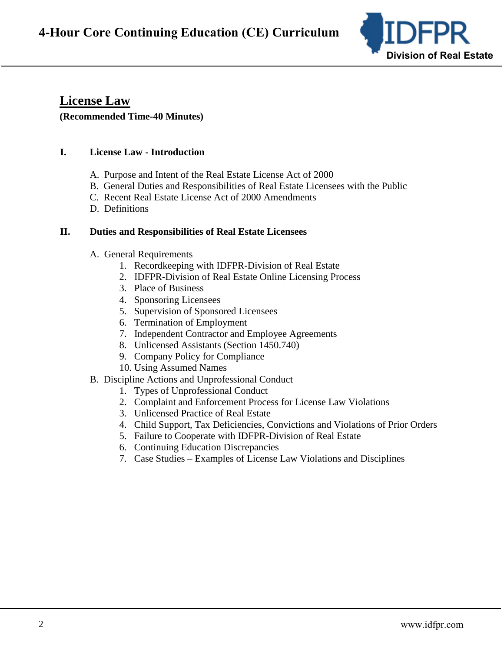

# **License Law (Recommended Time-40 Minutes)**

# **I. License Law - Introduction**

- A. Purpose and Intent of the Real Estate License Act of 2000
- B. General Duties and Responsibilities of Real Estate Licensees with the Public
- C. Recent Real Estate License Act of 2000 Amendments
- D. Definitions

### **II. Duties and Responsibilities of Real Estate Licensees**

- A. General Requirements
	- 1. Recordkeeping with IDFPR-Division of Real Estate
	- 2. IDFPR-Division of Real Estate Online Licensing Process
	- 3. Place of Business
	- 4. Sponsoring Licensees
	- 5. Supervision of Sponsored Licensees
	- 6. Termination of Employment
	- 7. Independent Contractor and Employee Agreements
	- 8. Unlicensed Assistants (Section 1450.740)
	- 9. Company Policy for Compliance
	- 10. Using Assumed Names

### B. Discipline Actions and Unprofessional Conduct

- 1. Types of Unprofessional Conduct
- 2. Complaint and Enforcement Process for License Law Violations
- 3. Unlicensed Practice of Real Estate
- 4. Child Support, Tax Deficiencies, Convictions and Violations of Prior Orders
- 5. Failure to Cooperate with IDFPR-Division of Real Estate
- 6. Continuing Education Discrepancies
- 7. Case Studies Examples of License Law Violations and Disciplines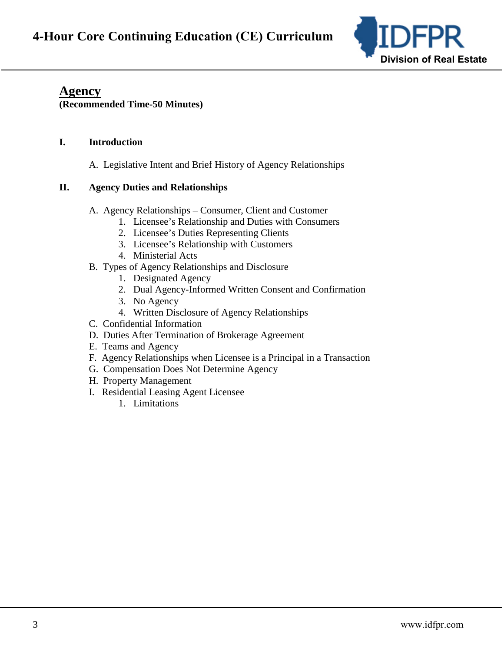

# **Agency**

**(Recommended Time-50 Minutes)**

# **I. Introduction**

A. Legislative Intent and Brief History of Agency Relationships

# **II. Agency Duties and Relationships**

- A. Agency Relationships Consumer, Client and Customer
	- 1. Licensee's Relationship and Duties with Consumers
	- 2. Licensee's Duties Representing Clients
	- 3. Licensee's Relationship with Customers
	- 4. Ministerial Acts
- B. Types of Agency Relationships and Disclosure
	- 1. Designated Agency
	- 2. Dual Agency-Informed Written Consent and Confirmation
	- 3. No Agency
	- 4. Written Disclosure of Agency Relationships
- C. Confidential Information
- D. Duties After Termination of Brokerage Agreement
- E. Teams and Agency
- F. Agency Relationships when Licensee is a Principal in a Transaction
- G. Compensation Does Not Determine Agency
- H. Property Management
- I. Residential Leasing Agent Licensee
	- 1. Limitations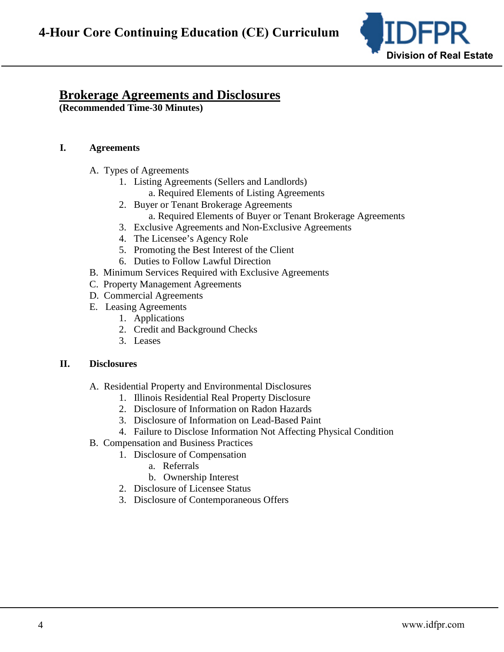

# **Brokerage Agreements and Disclosures**

(Recommended Time-30 Minutes)

#### I. **Agreements**

- A. Types of Agreements
	- 1. Listing Agreements (Sellers and Landlords)
		- a. Required Elements of Listing Agreements
	- 2. Buyer or Tenant Brokerage Agreements a. Required Elements of Buyer or Tenant Brokerage Agreements
	- 3. Exclusive Agreements and Non-Exclusive Agreements
	- 4. The Licensee's Agency Role
	- 5. Promoting the Best Interest of the Client
	- 6. Duties to Follow Lawful Direction
- B. Minimum Services Required with Exclusive Agreements
- C. Property Management Agreements
- D. Commercial Agreements
- E. Leasing Agreements
	- 1. Applications
	- 2. Credit and Background Checks
	- 3. Leases

#### II. **Disclosures**

- A. Residential Property and Environmental Disclosures
	- 1. Illinois Residential Real Property Disclosure
	- 2. Disclosure of Information on Radon Hazards
	- 3. Disclosure of Information on Lead-Based Paint
	- 4. Failure to Disclose Information Not Affecting Physical Condition
- **B.** Compensation and Business Practices
	- 1. Disclosure of Compensation
		- a. Referrals
		- b. Ownership Interest
		- 2. Disclosure of Licensee Status
		- 3. Disclosure of Contemporaneous Offers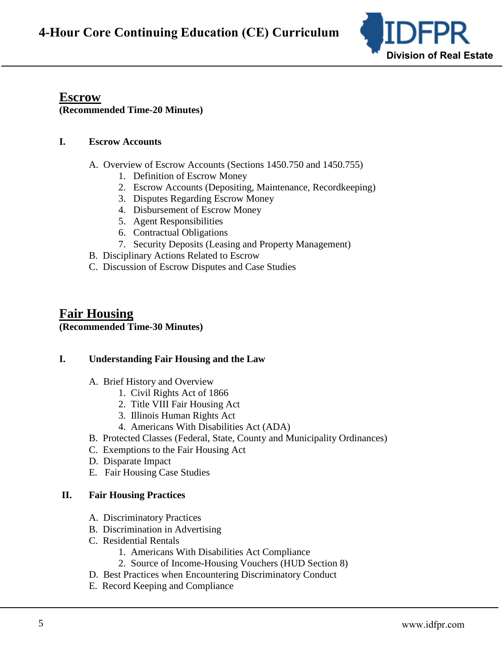

## **Escrow (Recommended Time-20 Minutes)**

### **I. Escrow Accounts**

- A. Overview of Escrow Accounts (Sections 1450.750 and 1450.755)
	- 1. Definition of Escrow Money
	- 2. Escrow Accounts (Depositing, Maintenance, Recordkeeping)
	- 3. Disputes Regarding Escrow Money
	- 4. Disbursement of Escrow Money
	- 5. Agent Responsibilities
	- 6. Contractual Obligations
	- 7. Security Deposits (Leasing and Property Management)
- B. Disciplinary Actions Related to Escrow
- C. Discussion of Escrow Disputes and Case Studies

# **Fair Housing (Recommended Time-30 Minutes)**

## **I. Understanding Fair Housing and the Law**

- A. Brief History and Overview
	- 1. Civil Rights Act of 1866
	- 2. Title VIII Fair Housing Act
	- 3. Illinois Human Rights Act
	- 4. Americans With Disabilities Act (ADA)
- B. Protected Classes (Federal, State, County and Municipality Ordinances)
- C. Exemptions to the Fair Housing Act
- D. Disparate Impact
- E. Fair Housing Case Studies

## **II. Fair Housing Practices**

- A. Discriminatory Practices
- B. Discrimination in Advertising
- C. Residential Rentals
	- 1. Americans With Disabilities Act Compliance
	- 2. Source of Income-Housing Vouchers (HUD Section 8)
- D. Best Practices when Encountering Discriminatory Conduct
- E. Record Keeping and Compliance